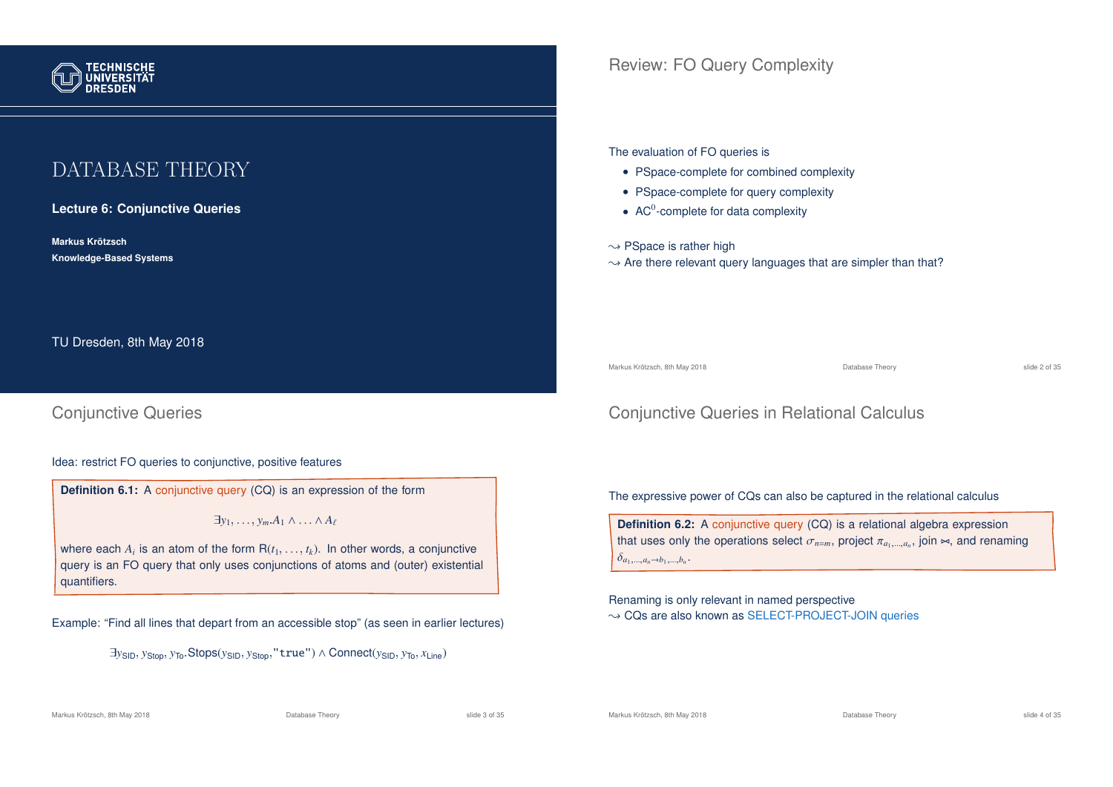

# DATABASE THEORY

**Lecture 6: Conjunctive Queries**

**Markus Krotzsch ¨ Knowledge-Based Systems**

TU Dresden, 8th May 2018

# Conjunctive Queries

### Idea: restrict FO queries to conjunctive, positive features

**Definition 6.1:** A conjunctive query (CQ) is an expression of the form

 $\exists y_1, \ldots, y_m.A_1 \wedge \ldots \wedge A_\ell$ 

where each  $A_i$  is an atom of the form  $R(t_1, \ldots, t_k)$ . In other words, a conjunctive query is an FO query that only uses conjunctions of atoms and (outer) existential quantifiers.

Example: "Find all lines that depart from an accessible stop" (as seen in earlier lectures)

<sup>∃</sup>*y*SID, *<sup>y</sup>*Stop, *<sup>y</sup>*To.Stops(*y*SID, *<sup>y</sup>*Stop,"true") <sup>∧</sup> Connect(*y*SID, *<sup>y</sup>*To, *<sup>x</sup>*Line)

The evaluation of FO queries is

- PSpace-complete for combined complexity
- PSpace-complete for query complexity
- $AC<sup>0</sup>$ -complete for data complexity

 $\rightarrow$  PSpace is rather high

 $\rightarrow$  Are there relevant query languages that are simpler than that?

Markus Krötzsch, 8th May 2018 **Database Theory** Database Theory **Slide 2 of 35** and 2 of 35

# Conjunctive Queries in Relational Calculus

The expressive power of CQs can also be captured in the relational calculus

**Definition 6.2:** A conjunctive query (CQ) is a relational algebra expression that uses only the operations select  $\sigma_{n=m}$ , project  $\pi_{a_1,...,a_n}$ , join  $\Join$ , and renaming  $\delta_{a_1,...,a_n \to b_1,...,b_n}.$ 

Renaming is only relevant in named perspective  $\rightarrow$  CQs are also known as SELECT-PROJECT-JOIN queries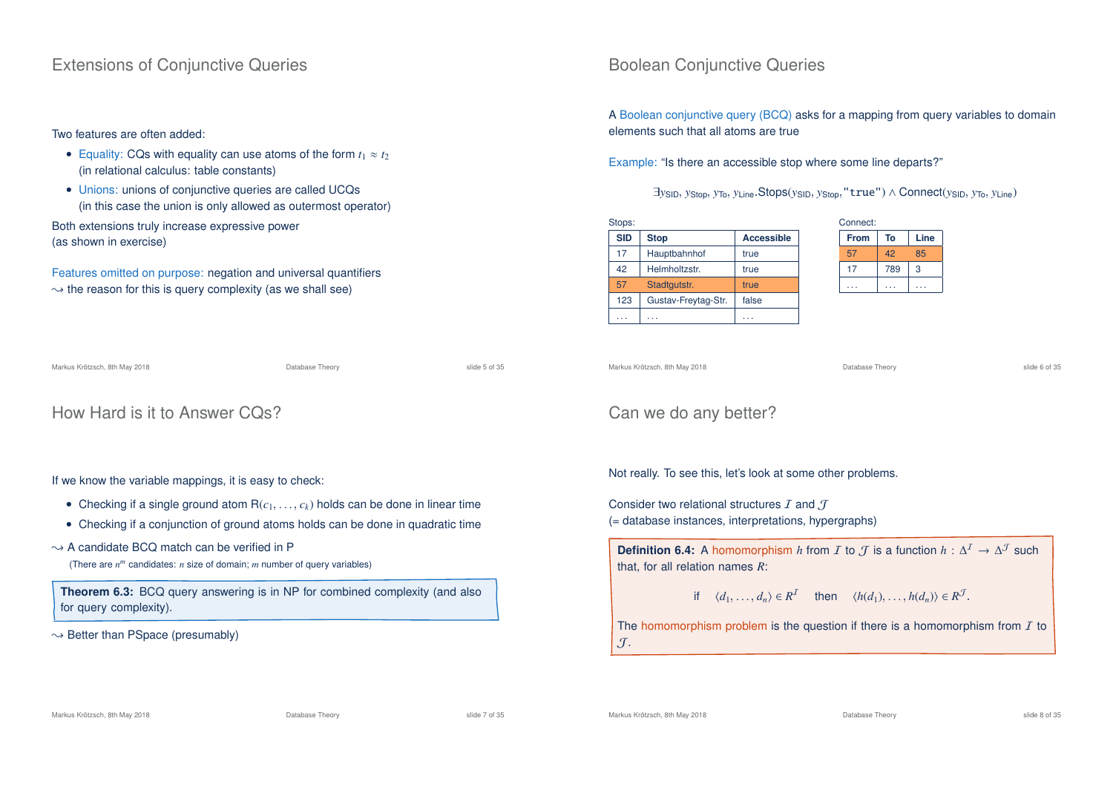## Extensions of Conjunctive Queries

## Two features are often added:

- Equality: CQs with equality can use atoms of the form  $t_1 \approx t_2$ (in relational calculus: table constants)
- Unions: unions of conjunctive queries are called UCQs (in this case the union is only allowed as outermost operator)

Both extensions truly increase expressive power (as shown in exercise)

Features omitted on purpose: negation and universal quantifiers  $\rightarrow$  the reason for this is query complexity (as we shall see)

Markus Krötzsch, 8th May 2018 Database Theory slide 5 of 35

```
How Hard is it to Answer CQs?
```
## If we know the variable mappings, it is easy to check:

- Checking if a single ground atom  $R(c_1, \ldots, c_k)$  holds can be done in linear time
- Checking if a conjunction of ground atoms holds can be done in quadratic time

## $\rightarrow$  A candidate BCQ match can be verified in P

(There are *n <sup>m</sup>* candidates: *n* size of domain; *m* number of query variables)

**Theorem 6.3:** BCQ query answering is in NP for combined complexity (and also for query complexity).

 $\rightarrow$  Better than PSpace (presumably)

# Boolean Conjunctive Queries

A Boolean conjunctive query (BCQ) asks for a mapping from query variables to domain elements such that all atoms are true

Example: "Is there an accessible stop where some line departs?"

<sup>∃</sup>*y*SID, *<sup>y</sup>*Stop, *<sup>y</sup>*To, *<sup>y</sup>*Line.Stops(*y*SID, *<sup>y</sup>*Stop,"true") <sup>∧</sup> Connect(*y*SID, *<sup>y</sup>*To, *<sup>y</sup>*Line)

| <b>SID</b> | <b>Stop</b>         | <b>Accessible</b> |
|------------|---------------------|-------------------|
| 17         | Hauptbahnhof        | true              |
| 42         | Helmholtzstr.       | true              |
| 57         | Stadtgutstr.        | true              |
| 123        | Gustav-Freytag-Str. | false             |
|            | .                   | .                 |

| From | To  | Line |
|------|-----|------|
| 57   | 42  | 85   |
| 17   | 789 | 3    |
|      |     |      |

```
Markus Krötzsch, 8th May 2018 Database Theory slide 6 of 35
```
# Can we do any better?

Not really. To see this, let's look at some other problems.

Consider two relational structures  $I$  and  $J$ (= database instances, interpretations, hypergraphs)

**Definition 6.4:** A homomorphism *h* from *I* to *J* is a function  $h : \Delta^1 \to \Delta^1$  such that, for all relation names *R*:

if 
$$
\langle d_1, \ldots, d_n \rangle \in R^T
$$
 then  $\langle h(d_1), \ldots, h(d_n) \rangle \in R^T$ .

The homomorphism problem is the question if there is a homomorphism from  $I$  to  $\mathcal{J}$ .

Markus Krötzsch, 8th May 2018 Database Theory slide 7 of 35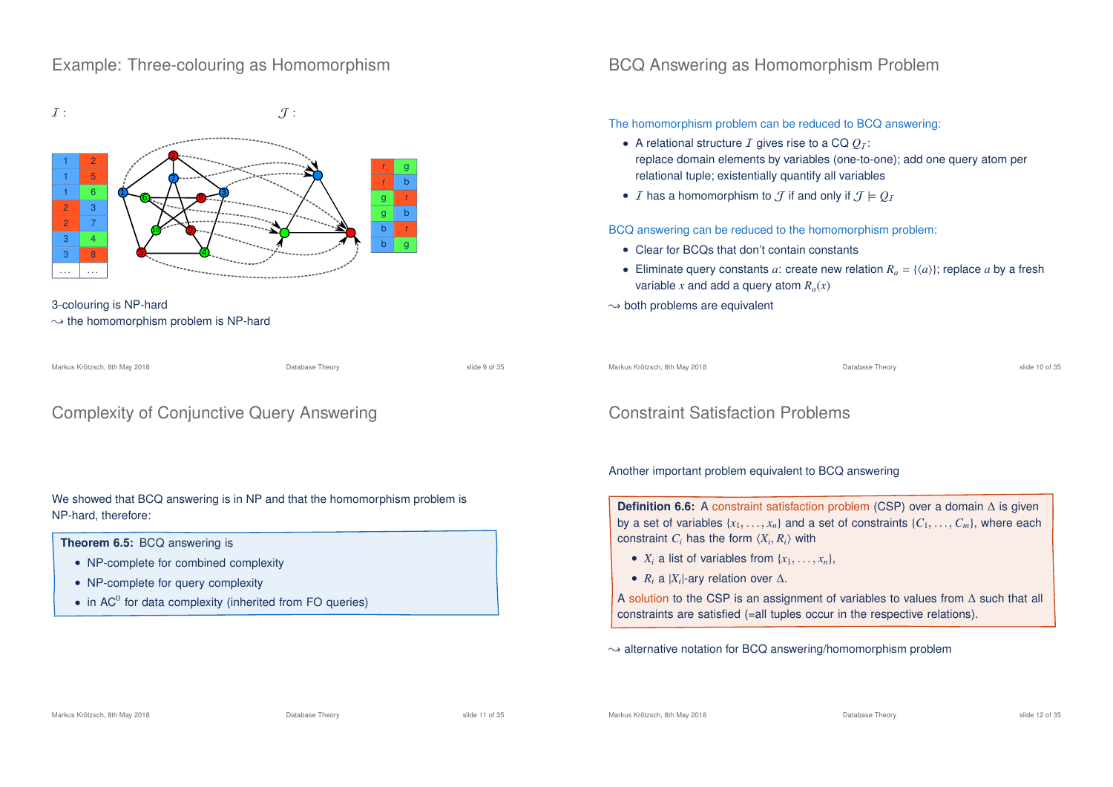# Example: Three-colouring as Homomorphism



3-colouring is NP-hard  $\rightarrow$  the homomorphism problem is NP-hard

Markus Krötzsch, 8th May 2018 Database Theory slide 9 of 35

# Complexity of Conjunctive Query Answering

## We showed that BCQ answering is in NP and that the homomorphism problem is NP-hard, therefore:

#### **Theorem 6.5:** BCQ answering is

- NP-complete for combined complexity
- NP-complete for query complexity
- in AC $^0$  for data complexity (inherited from FO queries)

# BCQ Answering as Homomorphism Problem

## The homomorphism problem can be reduced to BCQ answering:

- A relational structure  $I$  gives rise to a CQ  $O_I$ : replace domain elements by variables (one-to-one); add one query atom per relational tuple; existentially quantify all variables
- *I* has a homomorphism to  $\mathcal{T}$  if and only if  $\mathcal{T} \models \mathcal{O}_\mathcal{T}$

BCQ answering can be reduced to the homomorphism problem:

- Clear for BCQs that don't contain constants
- Eliminate query constants *a*: create new relation  $R_a = \{ \langle a \rangle \}$ ; replace *a* by a fresh variable *x* and add a query atom  $R_a(x)$
- $\rightarrow$  both problems are equivalent

Markus Krötzsch, 8th May 2018 Database Theory slide 10 of 35

# Constraint Satisfaction Problems

## Another important problem equivalent to BCQ answering

**Definition 6.6:** A constraint satisfaction problem (CSP) over a domain ∆ is given by a set of variables  $\{x_1, \ldots, x_n\}$  and a set of constraints  $\{C_1, \ldots, C_m\}$ , where each constraint  $C_i$  has the form  $\langle X_i, R_i \rangle$  with

- $X_i$  a list of variables from  $\{x_1, \ldots, x_n\}$ ,
- $R_i$  a  $|X_i|$ -ary relation over  $\Delta$ .

A solution to the CSP is an assignment of variables to values from ∆ such that all constraints are satisfied (=all tuples occur in the respective relations).

 $\rightarrow$  alternative notation for BCQ answering/homomorphism problem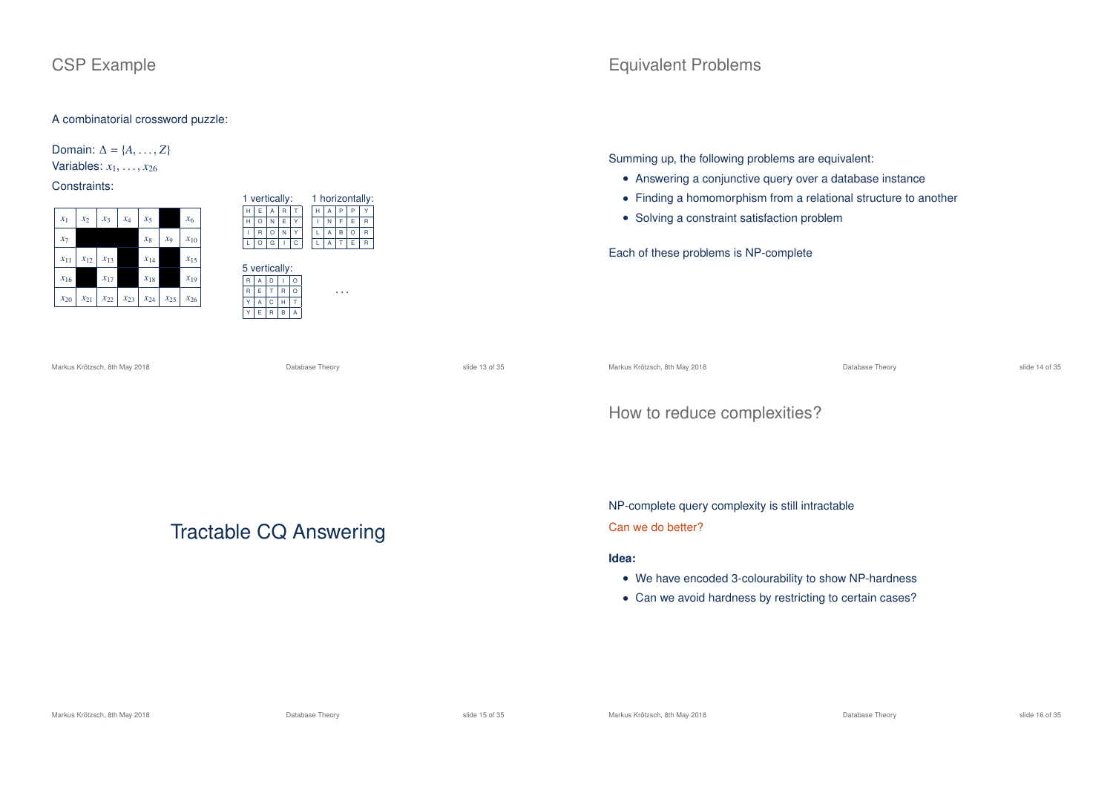# CSP Example

## A combinatorial crossword puzzle:

Domain:  $\Delta = \{A, \ldots, Z\}$ Variables:  $x_1, \ldots, x_{26}$ 

## Constraints:

| $x_1$    | $x_2$    | $x_3$    | $x_4$    | $x_5$    |                | $x_6$    |
|----------|----------|----------|----------|----------|----------------|----------|
| $x_7$    |          |          |          | $x_8$    | x <sub>9</sub> | $x_{10}$ |
| $x_{11}$ | $x_{12}$ | $x_{13}$ |          | $x_{14}$ |                | $x_{15}$ |
| $x_{16}$ |          | $x_{17}$ |          | $x_{18}$ |                | $x_{19}$ |
| $x_{20}$ | $x_{21}$ | $x_{22}$ | $x_{23}$ | $x_{24}$ | $x_{25}$       | $x_{26}$ |

| 1 vertically: |         |         |               |   |   |   |   |         | 1 horizontally: |
|---------------|---------|---------|---------------|---|---|---|---|---------|-----------------|
| н             | E       | A       | R             | т | н | A | P | P       |                 |
| н             | $\circ$ | N       | E             | Y | ı | N | F | E       | R               |
| Ī             | R       | $\circ$ | N             | Y | L | A | B | $\circ$ | R               |
| г             | $\circ$ | G       |               | Ċ | L | A | т | E       | R               |
|               |         |         |               |   |   |   |   |         |                 |
|               |         |         | 5 vertically: |   |   |   |   |         |                 |
| R             | А       | D       |               | Ō |   |   |   |         |                 |
| R             | E       | T       | R             | Ō |   |   |   |         |                 |
| Y             | A       | Ċ       | н             | т |   |   |   |         |                 |

Equivalent Problems

Summing up, the following problems are equivalent:

- Answering a conjunctive query over a database instance
- Finding a homomorphism from a relational structure to another
- Solving a constraint satisfaction problem

Each of these problems is NP-complete

Markus Krötzsch, 8th May 2018 Database Theory slide 13 of 35

Markus Krötzsch, 8th May 2018 Database Theory slide 14 of 35

# How to reduce complexities?

NP-complete query complexity is still intractable

## Can we do better?

## **Idea:**

- We have encoded 3-colourability to show NP-hardness
- Can we avoid hardness by restricting to certain cases?

Tractable CQ Answering

Markus Krötzsch, 8th May 2018 Database Theory slide 15 of 35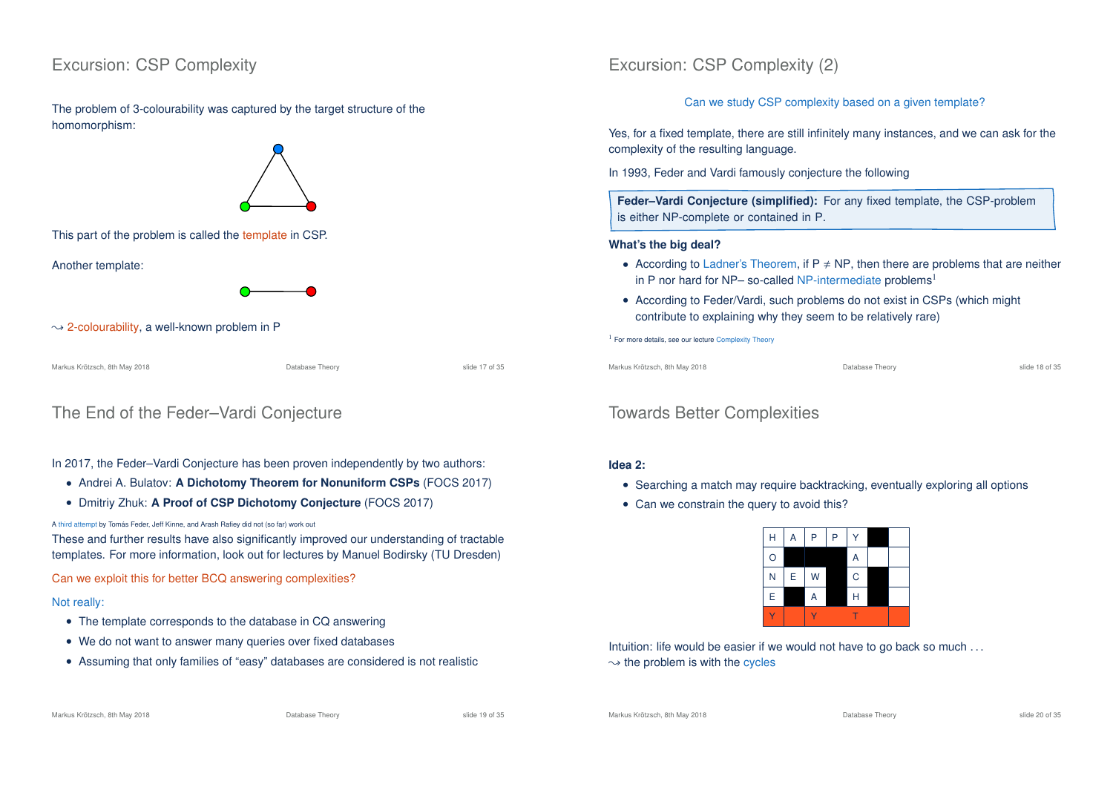# Excursion: CSP Complexity

The problem of 3-colourability was captured by the target structure of the homomorphism:



This part of the problem is called the template in CSP.

Another template:



 $\rightarrow$  2-colourability, a well-known problem in P

Markus Krötzsch, 8th May 2018 Database Theory slide 17 of 35

# The End of the Feder–Vardi Conjecture

## In 2017, the Feder–Vardi Conjecture has been proven independently by two authors:

- Andrei A. Bulatov: **A Dichotomy Theorem for Nonuniform CSPs** (FOCS 2017)
- Dmitriy Zhuk: **A Proof of CSP Dichotomy Conjecture** (FOCS 2017)

#### A third attempt by Tomás Feder, Jeff Kinne, and Arash Rafiey did not (so far) work out

These and further results have also significantly improved our understanding of tractable templates. For more information, look out for lectures by Manuel Bodirsky (TU Dresden)

Can we exploit this for better BCQ answering complexities?

## Not really:

- The template corresponds to the database in CQ answering
- We do not want to answer many queries over fixed databases
- Assuming that only families of "easy" databases are considered is not realistic

# Excursion: CSP Complexity (2)

Can we study CSP complexity based on a given template?

Yes, for a fixed template, there are still infinitely many instances, and we can ask for the complexity of the resulting language.

In 1993, Feder and Vardi famously conjecture the following

**Feder–Vardi Conjecture (simplified):** For any fixed template, the CSP-problem is either NP-complete or contained in P.

## **What's the big deal?**

- According to Ladner's Theorem, if  $P \neq NP$ , then there are problems that are neither in P nor hard for NP- so-called NP-intermediate problems<sup>1</sup>
- According to Feder/Vardi, such problems do not exist in CSPs (which might contribute to explaining why they seem to be relatively rare)

<sup>1</sup> For more details, see our lecture Complexity Theory

Markus Krötzsch, 8th May 2018 Database Theory slide 18 of 35

# Towards Better Complexities

## **Idea 2:**

- Searching a match may require backtracking, eventually exploring all options
- Can we constrain the query to avoid this?



Intuition: life would be easier if we would not have to go back so much ...

 $\rightarrow$  the problem is with the cycles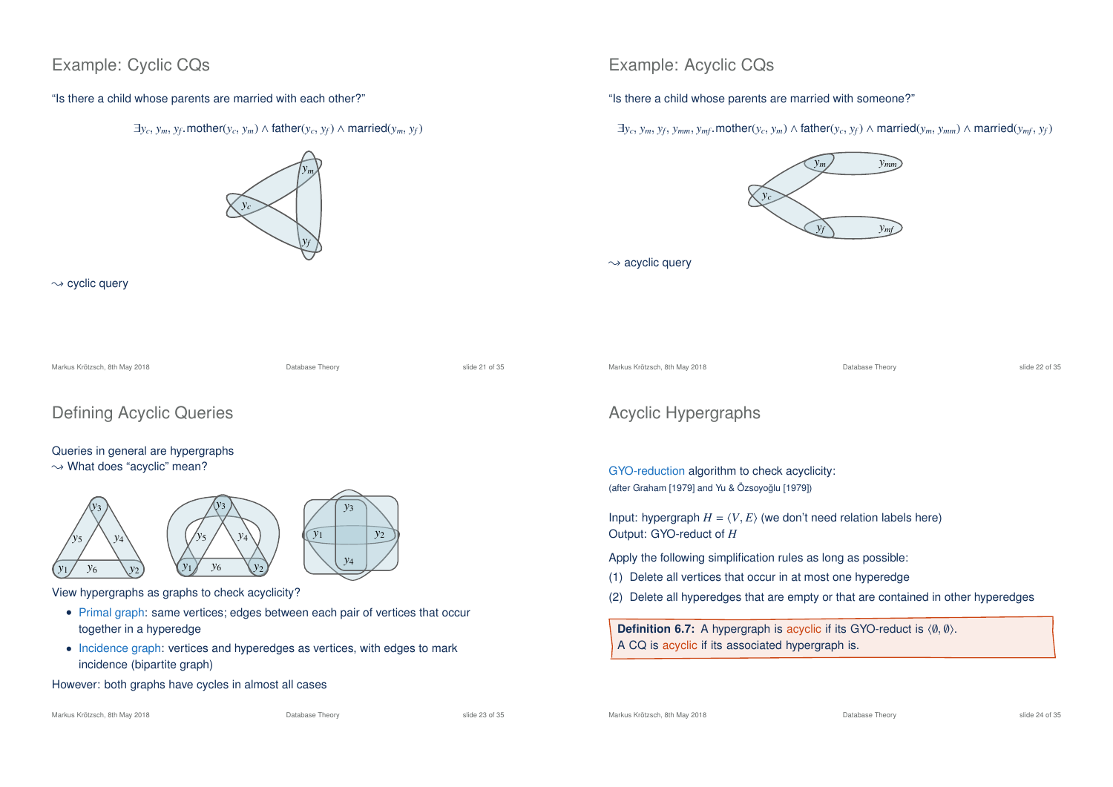# Example: Cyclic CQs

"Is there a child whose parents are married with each other?"





 $\rightsquigarrow$  cyclic query





View hypergraphs as graphs to check acyclicity?

- Primal graph: same vertices: edges between each pair of vertices that occur together in a hyperedge
- Incidence graph: vertices and hyperedges as vertices, with edges to mark incidence (bipartite graph)

However: both graphs have cycles in almost all cases

Markus Krötzsch, 8th May 2018 Database Theory slide 23 of 35

# Example: Acyclic CQs

"Is there a child whose parents are married with someone?"

 $\exists y_c, y_m, y_f, y_{mm}, y_{mf}$ .mother $(y_c, y_m)$   $\wedge$  father $(y_c, y_f)$   $\wedge$  married $(y_m, y_{mm})$   $\wedge$  married $(y_{mf}, y_f)$ 



 $\rightarrow$  acyclic query

Markus Krötzsch, 8th May 2018 Database Theory slide 22 of 35

# Acyclic Hypergraphs

GYO-reduction algorithm to check acyclicity: (after Graham [1979] and Yu & Özsoyoğlu [1979])

Input: hypergraph  $H = \langle V, E \rangle$  (we don't need relation labels here) Output: GYO-reduct of *H*

Apply the following simplification rules as long as possible:

- (1) Delete all vertices that occur in at most one hyperedge
- (2) Delete all hyperedges that are empty or that are contained in other hyperedges

**Definition 6.7:** A hypergraph is acyclic if its GYO-reduct is  $(0, 0)$ . A CQ is acyclic if its associated hypergraph is.

Markus Krötzsch, 8th May 2018 Database Theory slide 24 of 35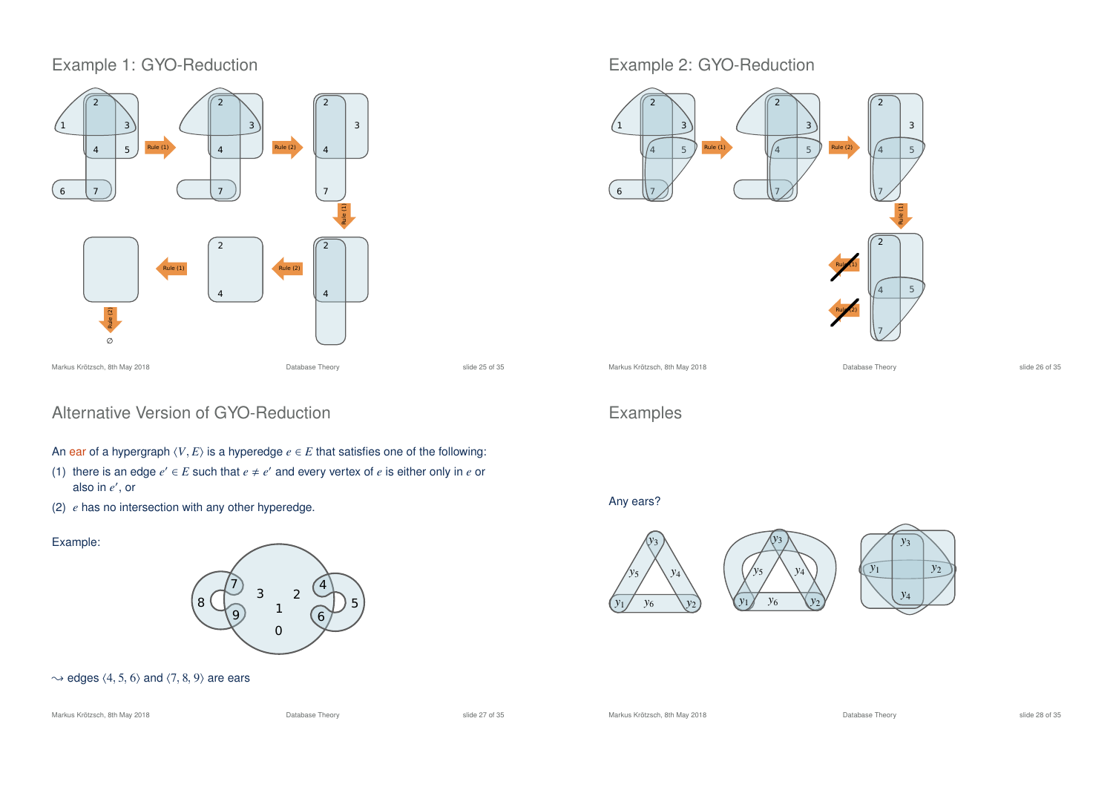# Example 1: GYO-Reduction



# Alternative Version of GYO-Reduction

- An ear of a hypergraph  $\langle V, E \rangle$  is a hyperedge  $e \in E$  that satisfies one of the following:
- (1) there is an edge  $e' \in E$  such that  $e \neq e'$  and every vertex of  $e$  is either only in  $e$  or also in  $e'$ , or
- (2) *e* has no intersection with any other hyperedge.

## Example:



## $\rightarrow$  edges  $\langle 4, 5, 6 \rangle$  and  $\langle 7, 8, 9 \rangle$  are ears

#### Markus Krötzsch, 8th May 2018 Database Theory slide 27 of 35

# Example 2: GYO-Reduction



*y*<sup>5</sup> *y*<sup>4</sup>

*y*3

# Examples

## Any ears?



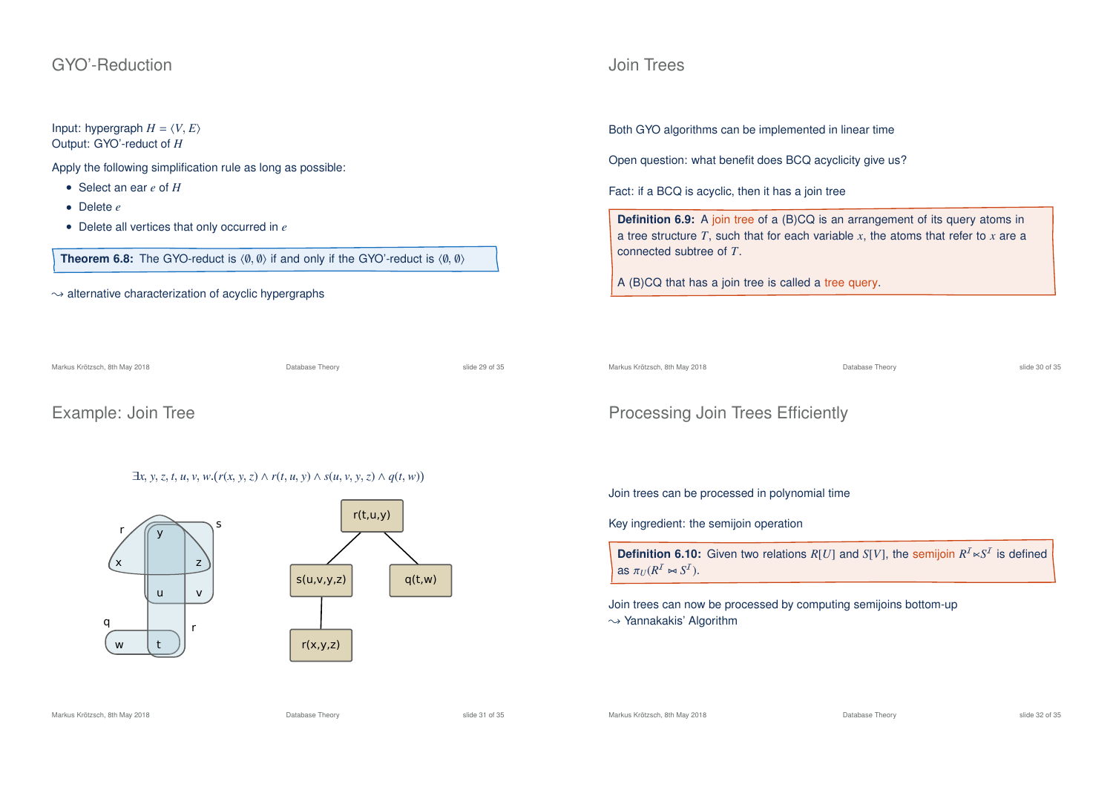## GYO'-Reduction

# Input: hypergraph  $H = \langle V, E \rangle$

Output: GYO'-reduct of *H*

Apply the following simplification rule as long as possible:

- Select an ear *e* of *H*
- Delete *e*
- Delete all vertices that only occurred in *e*

**Theorem 6.8:** The GYO-reduct is  $\langle \emptyset, \emptyset \rangle$  if and only if the GYO'-reduct is  $\langle \emptyset, \emptyset \rangle$ 

 $\rightarrow$  alternative characterization of acyclic hypergraphs

Markus Krötzsch, 8th May 2018 Database Theory slide 29 of 35

Example: Join Tree

# $\exists x, y, z, t, u, v, w.(r(x, y, z) \land r(t, u, y) \land s(u, v, y, z) \land q(t, w))$





Both GYO algorithms can be implemented in linear time

Open question: what benefit does BCQ acyclicity give us?

Fact: if a BCQ is acyclic, then it has a join tree

**Definition 6.9:** A join tree of a (B)CQ is an arrangement of its query atoms in a tree structure *T*, such that for each variable *x*, the atoms that refer to *x* are a connected subtree of *T*.

A (B)CQ that has a join tree is called a tree query.

Markus Krötzsch, 8th May 2018 Database Theory slide 30 of 35

# Processing Join Trees Efficiently

Join trees can be processed in polynomial time

Key ingredient: the semijoin operation

**Definition 6.10:** Given two relations  $R[U]$  and  $S[V]$ , the semijoin  $R^I \ltimes S^I$  is defined as  $\pi_U(R^I \bowtie S^I)$ .

Join trees can now be processed by computing semijoins bottom-up  $\rightarrow$  Yannakakis' Algorithm

Markus Krötzsch, 8th May 2018 Database Theory slide 31 of 35